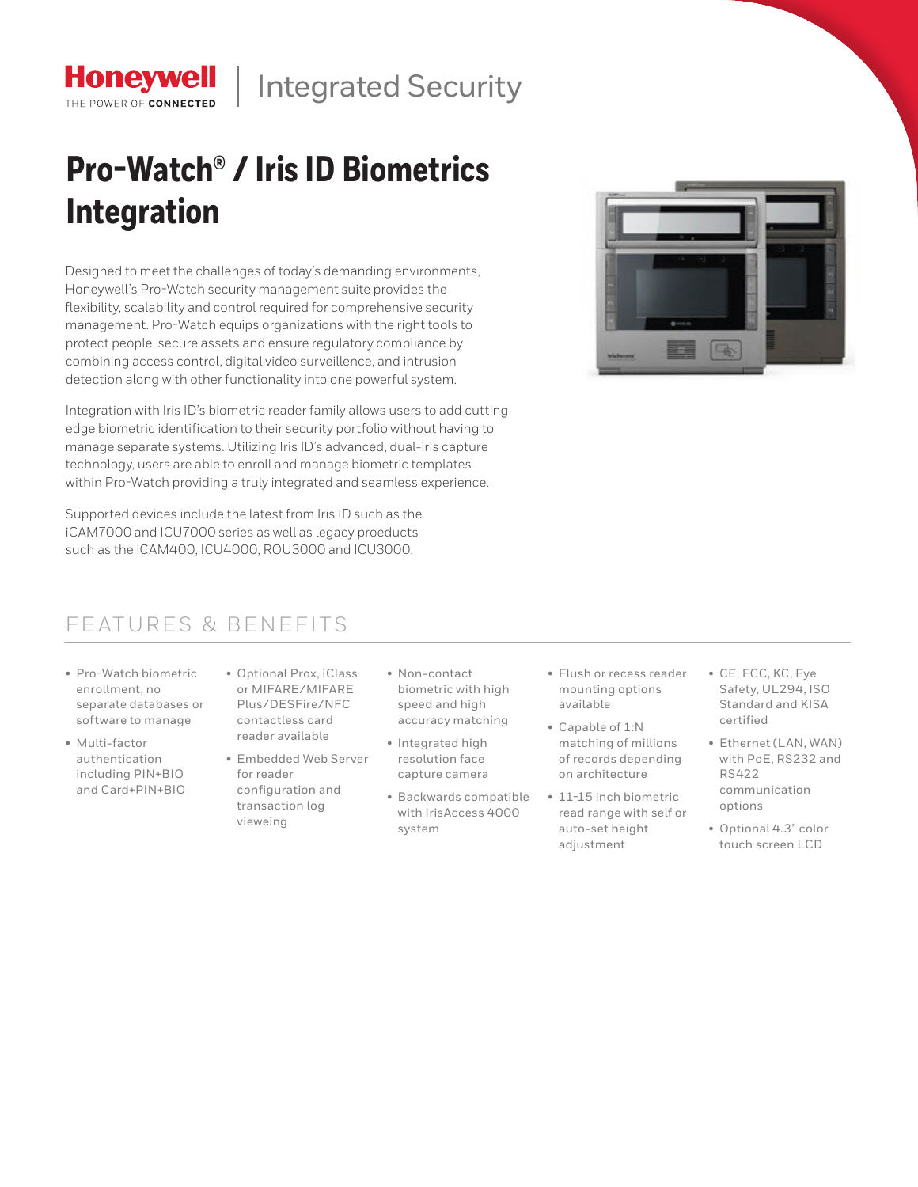

# **Pro-Watch® / Iris ID Biometrics Integration**

Designed to meet the challenges of today's demanding environments, Honeywell's Pro-Watch security management suite provides the flexibility, scalability and control required for comprehensive security management. Pro-Watch equips organizations with the right tools to protect people, secure assets and ensure regulatory compliance by combining access control, digital video surveillence, and intrusion detection along with other functionality into one powerful system.

Integration with Iris ID's biometric reader family allows users to add cutting edge biometric identification to their security portfolio without having to manage separate systems. Utilizing Iris ID's advanced, dual-iris capture technology, users are able to enroll and manage biometric templates within Pro-Watch providing a truly integrated and seamless experience.

Supported devices include the latest from Iris ID such as the iCAM7000 and ICU7000 series as well as legacy proeducts such as the iCAM400, ICU4000, ROU3000 and ICU3000.

#### FEATURES & BENEFITS

• Pro-Watch biometric enrollment; no separate databases or software to manage

**Honeywell** THE POWER OF CONNECTED

- Multi-factor authentication including PIN+BIO and Card+PIN+BIO
- Optional Prox, iClass or MIFARE/MIFARE Plus/DESFire/NFC contactless card reader available
- Embedded Web Server for reader configuration and transaction log vieweing
- Non-contact biometric with high speed and high accuracy matching
- Integrated high resolution face capture camera
- Backwards compatible with IrisAccess 4000 system
- Flush or recess reader mounting options available
- Capable of 1:N matching of millions of records depending on architecture
- 11-15 inch biometric read range with self or auto-set height adjustment
- CE, FCC, KC, Eye Safety, UL294, ISO Standard and KISA certified
- Ethernet (LAN, WAN) with PoE, RS232 and RS422 communication options
- Optional 4.3" color touch screen LCD

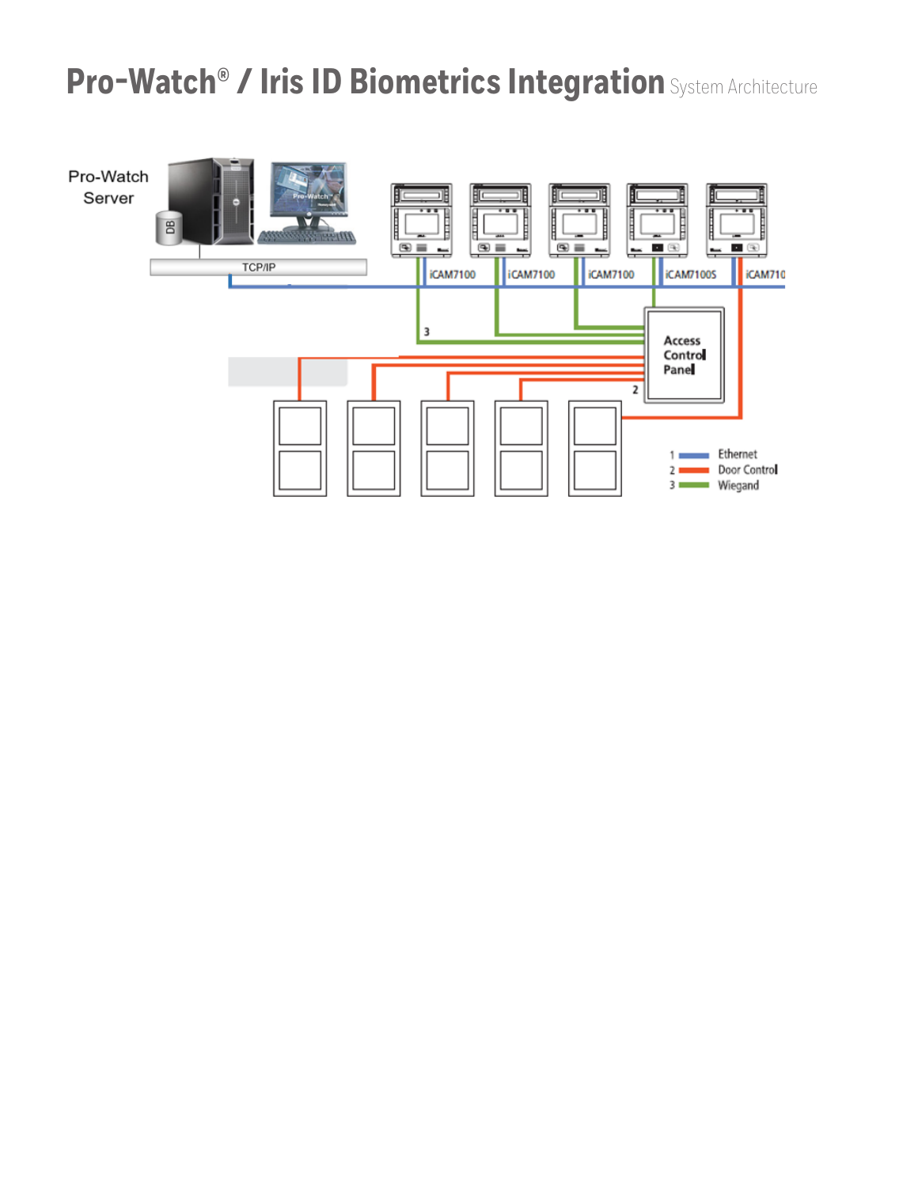## **Pro-Watch® / Iris ID Biometrics Integration** System Architecture